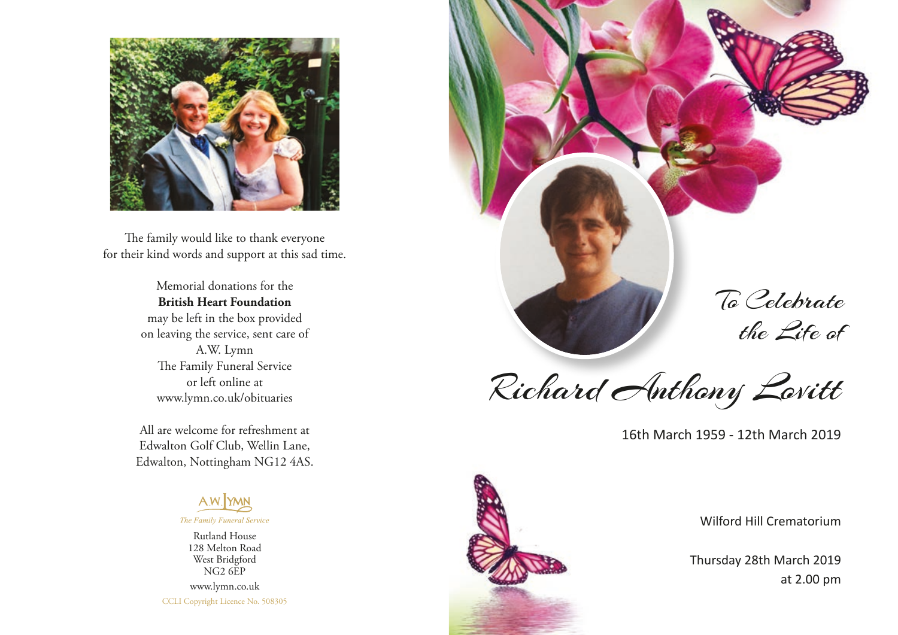

The family would like to thank everyone for their kind words and support at this sad time.

> Memorial donations for the **British Heart Foundation** may be left in the box provided on leaving the service, sent care of A.W. Lymn The Family Funeral Service or left online at www.lymn.co.uk/obituaries

All are welcome for refreshment at Edwalton Golf Club, Wellin Lane, Edwalton, Nottingham NG12 4AS.



Rutland House 128 Melton Road West Bridgford NG2 6EP www.lymn.co.uk CCLI Copyright Licence No. 508305



Richard Anthony Lovitt

16th March 1959 - 12th March 2019



Wilford Hill Crematorium

Thursday 28th March 2019 at 2.00 pm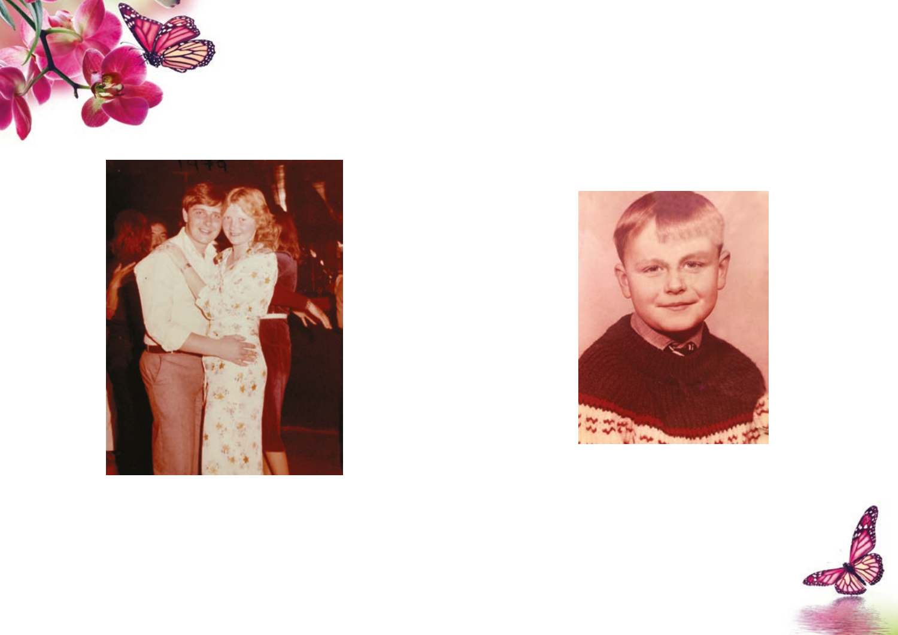





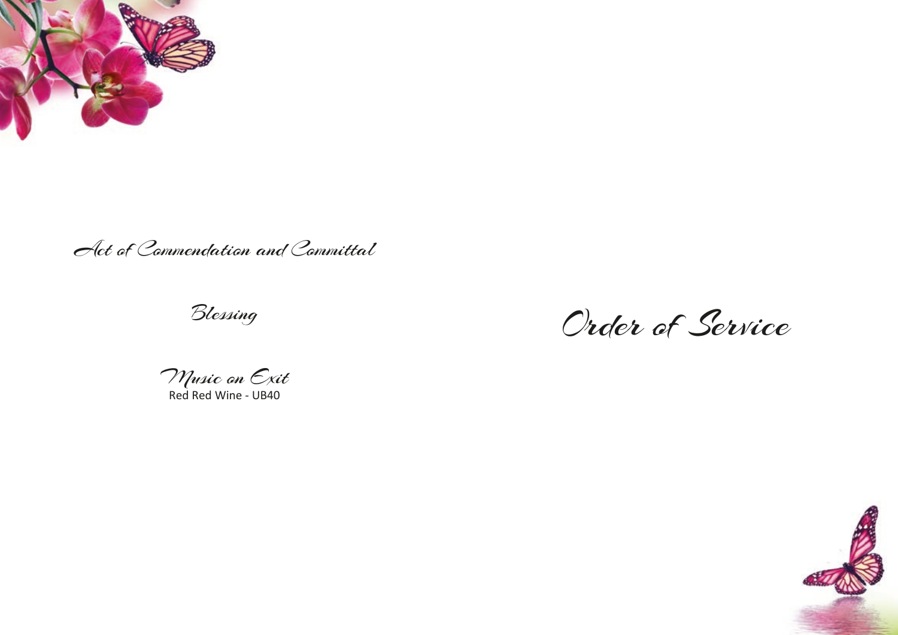

Act of Commendation and Committal

Blessing

Order of Service

Music on Exit Red Red Wine - UB40

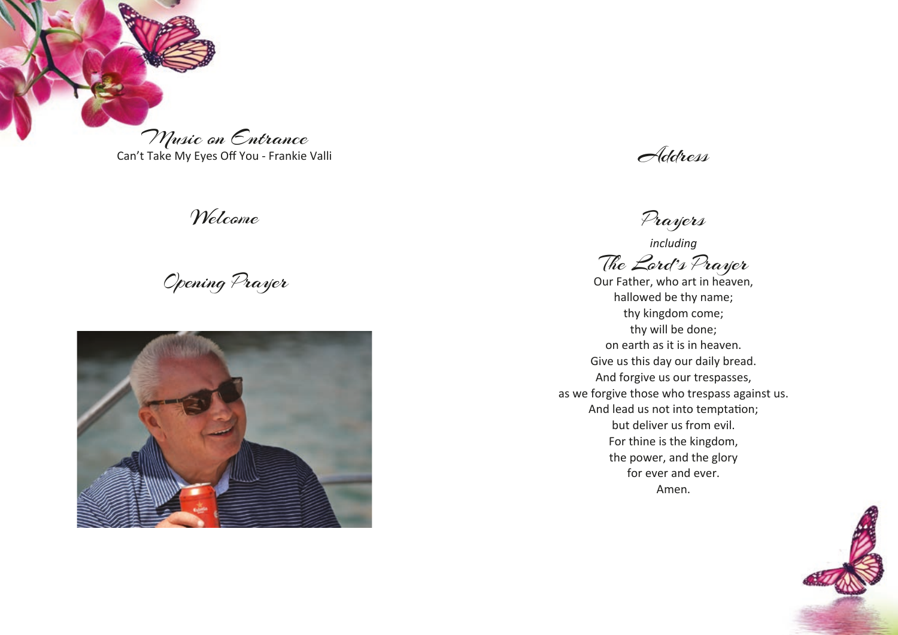

Can't Take My Eyes Off You - Frankie Valli

Welcome

Opening Prayer



Address

Prayers

*including*

The Lord's Prayer Our Father, who art in heaven, hallowed be thy name; thy kingdom come; thy will be done; on earth as it is in heaven. Give us this day our daily bread. And forgive us our trespasses, as we forgive those who trespass against us. And lead us not into temptation; but deliver us from evil. For thine is the kingdom, the power, and the glory for ever and ever. Amen.

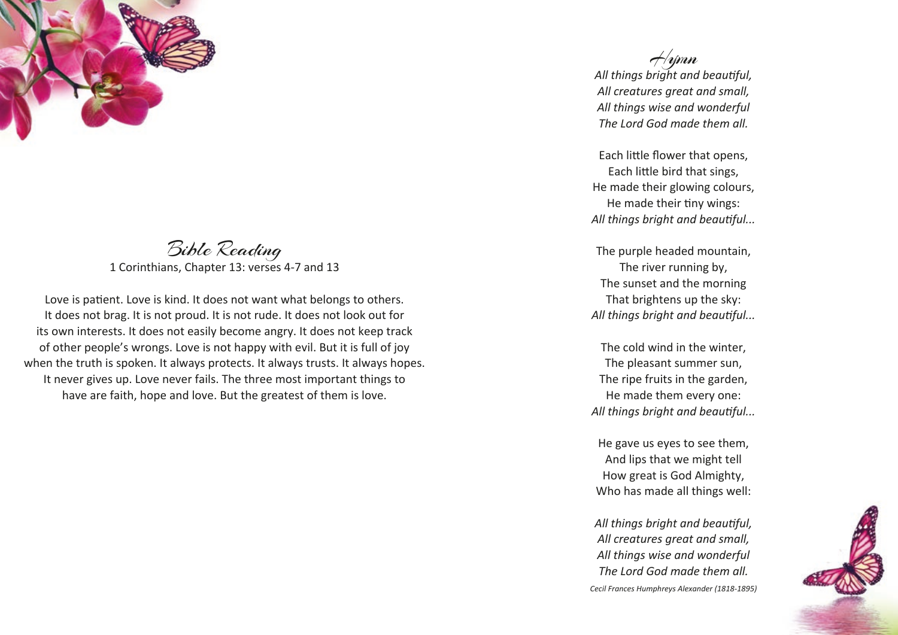

## Bible Reading 1 Corinthians, Chapter 13: verses 4-7 and 13

Love is patient. Love is kind. It does not want what belongs to others. It does not brag. It is not proud. It is not rude. It does not look out for its own interests. It does not easily become angry. It does not keep track of other people's wrongs. Love is not happy with evil. But it is full of joy when the truth is spoken. It always protects. It always trusts. It always hopes. It never gives up. Love never fails. The three most important things to have are faith, hope and love. But the greatest of them is love.

 $A$ rjmn *All things bright and beautiful, All creatures great and small, All things wise and wonderful The Lord God made them all.*

Each little flower that opens, Each little bird that sings, He made their glowing colours, He made their tiny wings: *All things bright and beautiful...*

The purple headed mountain, The river running by, The sunset and the morning That brightens up the sky: *All things bright and beautiful...*

The cold wind in the winter, The pleasant summer sun, The ripe fruits in the garden, He made them every one: *All things bright and beautiful...*

He gave us eyes to see them, And lips that we might tell How great is God Almighty, Who has made all things well:

*All things bright and beautiful, All creatures great and small, All things wise and wonderful The Lord God made them all. Cecil Frances Humphreys Alexander (1818-1895)*